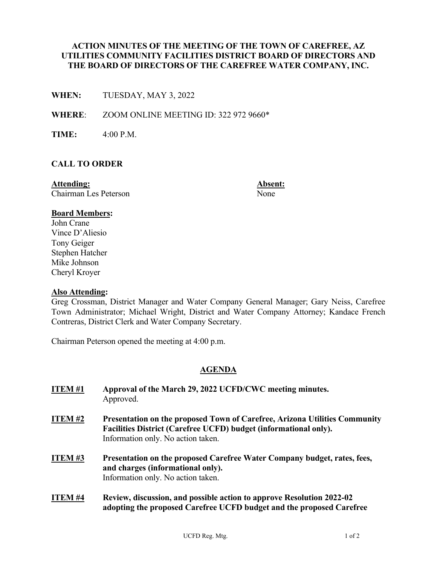## **ACTION MINUTES OF THE MEETING OF THE TOWN OF CAREFREE, AZ UTILITIES COMMUNITY FACILITIES DISTRICT BOARD OF DIRECTORS AND THE BOARD OF DIRECTORS OF THE CAREFREE WATER COMPANY, INC.**

**WHEN:** TUESDAY, MAY 3, 2022

**WHERE**: ZOOM ONLINE MEETING ID: 322 972 9660\*

**TIME:** 4:00 P.M.

### **CALL TO ORDER**

**Attending: Absent:** Chairman Les Peterson None

### **Board Members:**

John Crane Vince D'Aliesio Tony Geiger Stephen Hatcher Mike Johnson Cheryl Kroyer

#### **Also Attending:**

Greg Crossman, District Manager and Water Company General Manager; Gary Neiss, Carefree Town Administrator; Michael Wright, District and Water Company Attorney; Kandace French Contreras, District Clerk and Water Company Secretary.

Chairman Peterson opened the meeting at 4:00 p.m.

# **AGENDA**

| <b>ITEM#1</b>  | Approval of the March 29, 2022 UCFD/CWC meeting minutes.<br>Approved.                                                                                                                       |
|----------------|---------------------------------------------------------------------------------------------------------------------------------------------------------------------------------------------|
| <b>ITEM #2</b> | <b>Presentation on the proposed Town of Carefree, Arizona Utilities Community</b><br>Facilities District (Carefree UCFD) budget (informational only).<br>Information only. No action taken. |
| <b>ITEM#3</b>  | Presentation on the proposed Carefree Water Company budget, rates, fees,<br>and charges (informational only).<br>Information only. No action taken.                                         |
| <b>ITEM #4</b> | Review, discussion, and possible action to approve Resolution 2022-02<br>adopting the proposed Carefree UCFD budget and the proposed Carefree                                               |